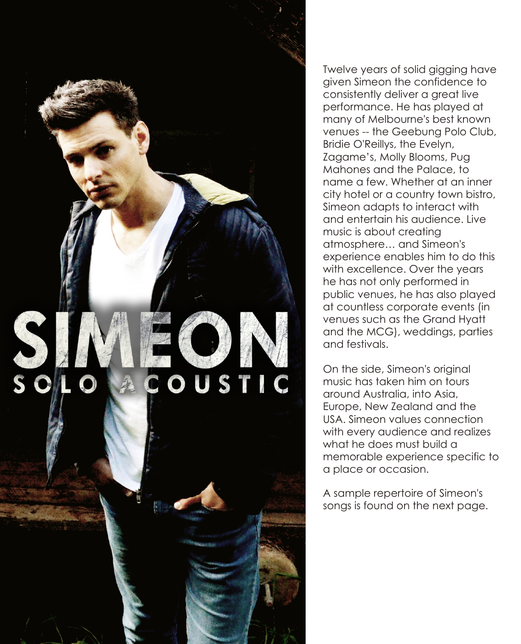

Twelve years of solid gigging have given Simeon the confidence to consistently deliver a great live performance. He has played at many of Melbourne's best known venues -- the Geebung Polo Club, Bridie O'Reillys, the Evelyn, Zagame's, Molly Blooms, Pug Mahones and the Palace, to name a few. Whether at an inner city hotel or a country town bistro, Simeon adapts to interact with and entertain his audience. Live music is about creating atmosphere… and Simeon's experience enables him to do this with excellence. Over the years he has not only performed in public venues, he has also played at countless corporate events (in venues such as the Grand Hyatt and the MCG), weddings, parties and festivals.

On the side, Simeon's original music has taken him on tours around Australia, into Asia, Europe, New Zealand and the USA. Simeon values connection with every audience and realizes what he does must build a memorable experience specific to a place or occasion.

A sample repertoire of Simeon's songs is found on the next page.